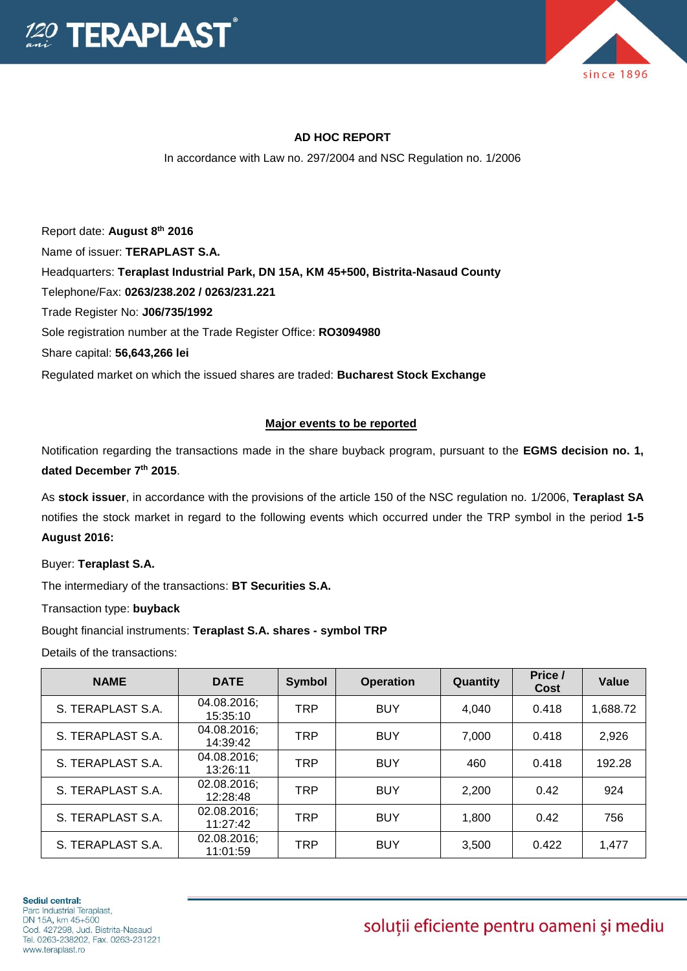



## **AD HOC REPORT**

In accordance with Law no. 297/2004 and NSC Regulation no. 1/2006

Report date: **August 8 th 2016** Name of issuer: **TERAPLAST S.A.**  Headquarters: **Teraplast Industrial Park, DN 15A, KM 45+500, Bistrita-Nasaud County** Telephone/Fax: **0263/238.202 / 0263/231.221** Trade Register No: **J06/735/1992** Sole registration number at the Trade Register Office: **RO3094980** Share capital: **56,643,266 lei**  Regulated market on which the issued shares are traded: **Bucharest Stock Exchange**

## **Major events to be reported**

Notification regarding the transactions made in the share buyback program, pursuant to the **EGMS decision no. 1, dated December 7th 2015**.

As **stock issuer**, in accordance with the provisions of the article 150 of the NSC regulation no. 1/2006, **Teraplast SA** notifies the stock market in regard to the following events which occurred under the TRP symbol in the period **1-5 August 2016:**

Buyer: **Teraplast S.A.**

The intermediary of the transactions: **BT Securities S.A.**

Transaction type: **buyback**

Bought financial instruments: **Teraplast S.A. shares - symbol TRP**

Details of the transactions:

| <b>NAME</b>       | <b>DATE</b>             | <b>Symbol</b> | <b>Operation</b> | Quantity | Price /<br>Cost | Value    |
|-------------------|-------------------------|---------------|------------------|----------|-----------------|----------|
| S. TERAPLAST S.A. | 04.08.2016;<br>15:35:10 | <b>TRP</b>    | <b>BUY</b>       | 4,040    | 0.418           | 1,688.72 |
| S. TERAPLAST S.A. | 04.08.2016;<br>14:39:42 | <b>TRP</b>    | <b>BUY</b>       | 7,000    | 0.418           | 2,926    |
| S. TERAPLAST S.A. | 04.08.2016;<br>13:26:11 | <b>TRP</b>    | <b>BUY</b>       | 460      | 0.418           | 192.28   |
| S. TERAPLAST S.A. | 02.08.2016;<br>12:28:48 | <b>TRP</b>    | <b>BUY</b>       | 2,200    | 0.42            | 924      |
| S. TERAPLAST S.A. | 02.08.2016;<br>11:27:42 | <b>TRP</b>    | <b>BUY</b>       | 1,800    | 0.42            | 756      |
| S. TERAPLAST S.A. | 02.08.2016;<br>11:01:59 | <b>TRP</b>    | <b>BUY</b>       | 3,500    | 0.422           | 1,477    |

## soluții eficiente pentru oameni și mediu